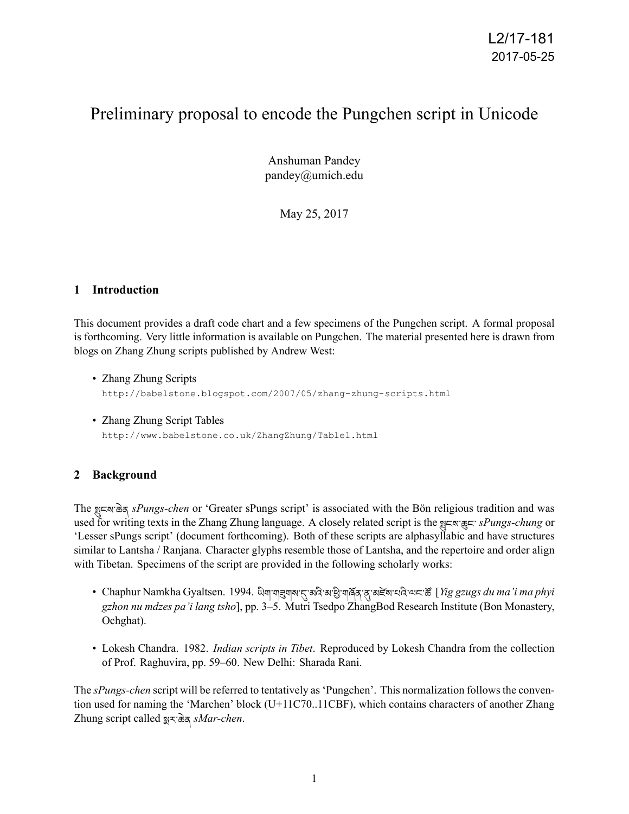# Preliminary proposal to encode the Pungchen script in Unicode

Anshuman Pandey pandey@umich.edu

May 25, 2017

#### **1 Introduction**

This document provides a draft code chart and a few specimens of the Pungchen script. A formal proposal is forthcoming. Very little information is available on Pungchen. The material presented here is drawn from blogs on Zhang Zhung scripts published by Andrew West:

- Zhang Zhung Scripts http://babelstone.blogspot.com/2007/05/zhang-zhung-scripts.html
- Zhang Zhung Script Tables http://www.babelstone.co.uk/ZhangZhung/Table1.html

# **2 Background**

The Ƀངས་ཆེན *sPungs-chen* or 'Greater sPungs script' is associated with the Bön religious tradition and was used for writing texts in the Zhang Zhung language. A closely related script is the Stavagan sPungs-chung or 'Lesser sPungs script' (document forthcoming). Both of these scripts are alphasyllabic and have structures similar to Lantsha / Ranjana. Character glyphs resemble those of Lantsha, and the repertoire and order align with Tibetan. Specimens of the script are provided in the following scholarly works:

- Chaphur Namkha Gyaltsen. 1994. ਘੋਗ੍ਰਾਗੜ੍ਹਗਕਾ $\pi$ ਲਕੇ ਕਾਡੇ ਗਰੱਕ ਕ੍ਰਾਕਵੱਕਾਧਕੇ ਕਾਵਾਲੋਂ [*Yig gzugs du ma'i ma phyi gzhon nu mdzes pa'i lang tsho*], pp. 3–5. Mutri Tsedpo ZhangBod Research Institute (Bon Monastery, Ochghat).
- Lokesh Chandra. 1982. *Indian scripts in Tibet*. Reproduced by Lokesh Chandra from the collection of Prof. Raghuvira, pp. 59–60. New Delhi: Sharada Rani.

The *sPungs-chen* script will be referred to tentatively as 'Pungchen'. This normalization follows the convention used for naming the 'Marchen' block (U+11C70..11CBF), which contains characters of another Zhang Zhung script called ɥར་ཆེན *sMar-chen*.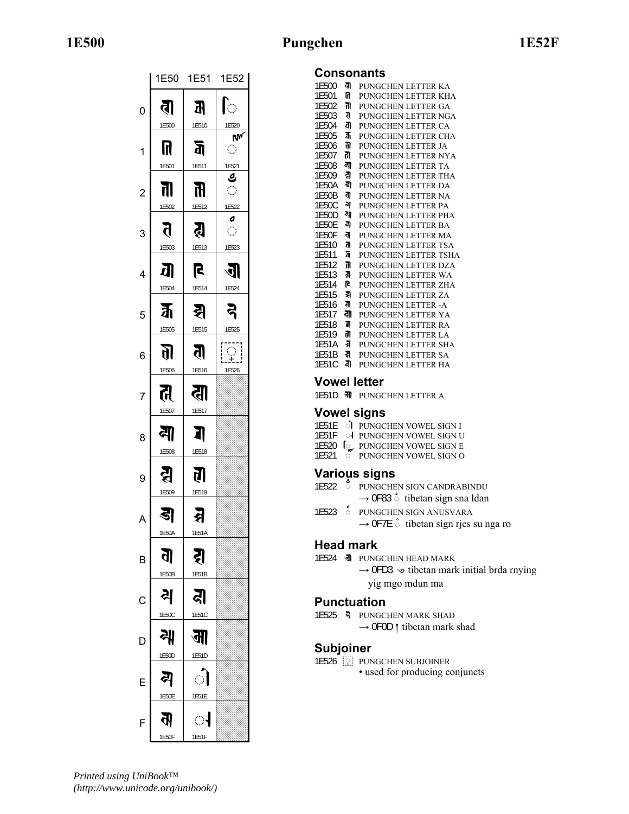# **1E500 Pungchen 1E52F**

|                |                             | 1E50 1E51     | 1E52                               |  |  |  |  |
|----------------|-----------------------------|---------------|------------------------------------|--|--|--|--|
| 0              | तै<br>1E500                 | Æ<br>1E510    | $\mathbb{C}$                       |  |  |  |  |
| 1              | N                           | 瓦             | 1E520<br>Úм<br>Ó                   |  |  |  |  |
| $\overline{c}$ | 1E501<br>ता                 | 1E511<br>讯    | 1E521<br>ہ<br>$\hat{\mathcal{O}}$  |  |  |  |  |
| 3              | 1E502<br>त                  | 1E512<br>Ŗ    | 1E522<br>o<br>$\hat{\mathbb{C}}$   |  |  |  |  |
| 4              | 1E503<br><b>d</b>           | 1E513<br>R    | 1E523<br>अ                         |  |  |  |  |
| 5              | 1E504<br>$\bar{\mathbf{a}}$ | 1E514<br>झ    | 1E524<br>ຸຊ                        |  |  |  |  |
| 6              | 1E505<br><u> 10</u>         | 1E515<br>तै   | 1E525<br>$\widetilde{\mathcal{L}}$ |  |  |  |  |
| 7              | 1E506<br>ति                 | 1E516<br>ढा   | 1E526                              |  |  |  |  |
| 8              | 1E507<br>ন্ম                | 1E517<br>7    |                                    |  |  |  |  |
| 9              | 1E508<br>Я                  | 1E518<br>त्न। |                                    |  |  |  |  |
| A              | 1E509<br>डा                 | 1E519<br>ส    |                                    |  |  |  |  |
| B              | 1 E 50 A<br>ਗ੍ਰ             | IL5IA<br>ह्   |                                    |  |  |  |  |
| $\mathsf{C}$   | 1E50B<br>리                  | 1E51B<br>ঝ    |                                    |  |  |  |  |
| D              | 1E50C<br>궤                  | 1E51C<br>जा   |                                    |  |  |  |  |
| E              | 1E50D<br>ଣ                  | 1E51D<br>ऻ    |                                    |  |  |  |  |
| F              | 1E50E<br>ਕੋ                 | 1E51E<br>ा    |                                    |  |  |  |  |
|                | 1E50F                       | 1E51F         |                                    |  |  |  |  |

### **Consonants**

| 1E500 | ता  | PUNGCHEN LETTER KA   |
|-------|-----|----------------------|
| 1F501 | n   | PUNGCHEN LETTER KHA  |
| 1E502 | π   | PUNGCHEN LETTER GA   |
| 1E503 | Б   | PUNGCHEN LETTER NGA  |
| 1E504 | ग्र | PUNGCHEN LETTER CA   |
| 1E505 | Ѫ   | PUNGCHEN LETTER CHA  |
| 1E506 | 91  | PUNGCHEN LETTER JA   |
| 1E507 | त्  | PUNGCHEN LETTER NYA  |
| 1F508 | ৰা  | PUNGCHEN LETTER TA   |
| 1E509 | র   | PUNGCHEN LETTER THA  |
| 1F50A | ৰা  | PUNGCHEN LETTER DA   |
| 1E50B | ਗੋ  | PUNGCHEN LETTER NA   |
| 1E50C | ঝ   | PUNGCHEN LETTER PA   |
| 1F50D | 궤   | PUNGCHEN LETTER PHA  |
| 1E50E | ন   | PUNGCHEN LETTER BA   |
| 1E50F | त्त | PUNGCHEN LETTER MA   |
| 1E510 | R   | PUNGCHEN LETTER TSA  |
| 1E511 | ā   | PUNGCHEN LETTER TSHA |
| 1E512 | R   | PUNGCHEN LETTER DZA  |
| 1E513 | ह्य | PUNGCHEN LETTER WA   |
| 1F514 | R   | PUNGCHEN LETTER ZHA  |
| 1E515 | a   | PUNGCHEN LETTER ZA   |
| 1E516 | त   | PUNGCHEN LETTER - A  |
| 1F517 | ता  | PUNGCHEN LETTER YA   |
| 1F518 | ת   | PUNGCHEN LETTER RA   |
| 1E519 | त   | PUNGCHEN LETTER LA   |
| 1E51A | a   | PUNGCHEN LETTER SHA  |
| 1E51B | रा  | PUNGCHEN LETTER SA   |
| 1E51C | ৱা  | PUNGCHEN LETTER HA   |
|       |     |                      |

# **Vowel letter**

1E51D **• • PUNGCHEN LETTER A** 

#### **Vowel signs**

- 1E51E *O* PUNGCHEN VOWEL SIGN I
- 1E51F ol PUNGCHEN VOWEL SIGN U
- 1E520 **I** PUNGCHEN VOWEL SIGN E
- 1E521 <sup>6</sup> PUNGCHEN VOWEL SIGN O

#### **Various signs**

- 1E522 **b** PUNGCHEN SIGN CANDRABINDU → 0F83  $\circ$  tibetan sign sna ldan
- 1E523 <sup>6</sup> PUNGCHEN SIGN ANUSVARA  $\rightarrow$  0F7E  $\circ$  tibetan sign rjes su nga ro

#### **Head mark**

1E524 **J** PUNGCHEN HEAD MARK  $\rightarrow$  0FD3  $\rightarrow$  tibetan mark initial brda rnying yig mgo mdun ma

# **Punctuation**

- 1E525 <sup>3</sup> PUNGCHEN MARK SHAD
	- $\rightarrow$  0F0D | tibetan mark shad

# **Subjoiner**

1E526 PUNGCHEN SUBJOINER • used for producing conjuncts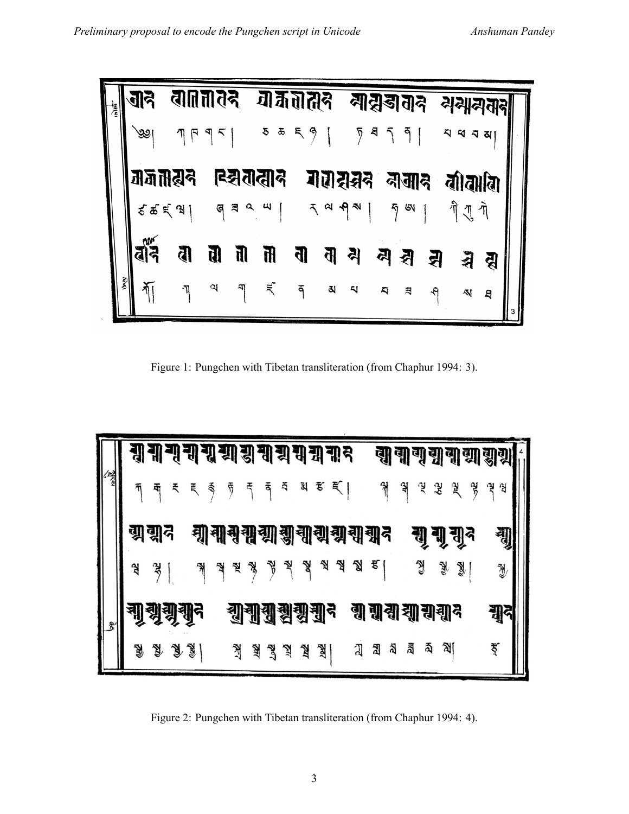| जनि |                 |                 |           |                          |                              |          |                      |                         |                   |                             |                                                                       |          |                                               |
|-----|-----------------|-----------------|-----------|--------------------------|------------------------------|----------|----------------------|-------------------------|-------------------|-----------------------------|-----------------------------------------------------------------------|----------|-----------------------------------------------|
| ৩৩  | $\eta \uparrow$ |                 |           |                          |                              |          |                      |                         |                   |                             |                                                                       | ଧ୍ୟ      |                                               |
|     |                 |                 |           |                          |                              |          |                      |                         |                   |                             |                                                                       |          |                                               |
|     |                 |                 |           |                          |                              |          |                      |                         |                   |                             | णे गु                                                                 |          |                                               |
| ৱাই | व               | प्त             | <b>TI</b> | ती                       | त्व                          | <u>त</u> | 식                    | 쇠                       | 쇠                 |                             |                                                                       |          |                                               |
|     | η               | ा               |           | $\tilde{a}$              | ۴                            | 3,       | $\ddot{\phantom{0}}$ | $\overline{\mathbf{a}}$ | ন                 |                             | AJ                                                                    | g        |                                               |
|     |                 | जजातरन<br>そもえ み |           | वा∏नातद<br>$\sim$ $\sim$ | ह्यतात्वाद<br>$G \equiv 0$ 4 |          | गैर्जतात्तुन<br>5555 |                         | गलशुक्षुद<br>7a9N | $\frac{1}{2}$ $\frac{1}{2}$ | बाह्यडातान<br>$\begin{bmatrix} 8 & 5 & 6 \end{bmatrix}$<br>नामान<br>슄 | <u>4</u> | 리궤리<br>ব ব ব<br>बीबाबि<br>$\tilde{\eta}$<br>줘 |

Figure 1: Pungchen with Tibetan transliteration (from Chaphur 1994: 3).



Figure 2: Pungchen with Tibetan transliteration (from Chaphur 1994: 4).